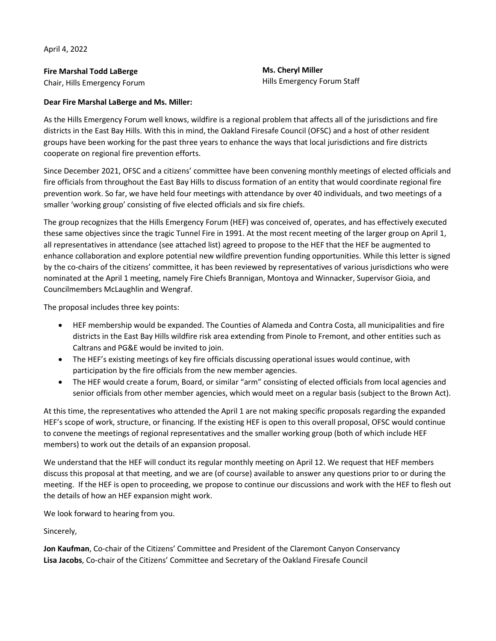April 4, 2022

**Fire Marshal Todd LaBerge** Chair, Hills Emergency Forum **Ms. Cheryl Miller** Hills Emergency Forum Staff

## **Dear Fire Marshal LaBerge and Ms. Miller:**

As the Hills Emergency Forum well knows, wildfire is a regional problem that affects all of the jurisdictions and fire districts in the East Bay Hills. With this in mind, the Oakland Firesafe Council (OFSC) and a host of other resident groups have been working for the past three years to enhance the ways that local jurisdictions and fire districts cooperate on regional fire prevention efforts.

Since December 2021, OFSC and a citizens' committee have been convening monthly meetings of elected officials and fire officials from throughout the East Bay Hills to discuss formation of an entity that would coordinate regional fire prevention work. So far, we have held four meetings with attendance by over 40 individuals, and two meetings of a smaller 'working group' consisting of five elected officials and six fire chiefs.

The group recognizes that the Hills Emergency Forum (HEF) was conceived of, operates, and has effectively executed these same objectives since the tragic Tunnel Fire in 1991. At the most recent meeting of the larger group on April 1, all representatives in attendance (see attached list) agreed to propose to the HEF that the HEF be augmented to enhance collaboration and explore potential new wildfire prevention funding opportunities. While this letter is signed by the co-chairs of the citizens' committee, it has been reviewed by representatives of various jurisdictions who were nominated at the April 1 meeting, namely Fire Chiefs Brannigan, Montoya and Winnacker, Supervisor Gioia, and Councilmembers McLaughlin and Wengraf.

The proposal includes three key points:

- HEF membership would be expanded. The Counties of Alameda and Contra Costa, all municipalities and fire districts in the East Bay Hills wildfire risk area extending from Pinole to Fremont, and other entities such as Caltrans and PG&E would be invited to join.
- The HEF's existing meetings of key fire officials discussing operational issues would continue, with participation by the fire officials from the new member agencies.
- The HEF would create a forum, Board, or similar "arm" consisting of elected officials from local agencies and senior officials from other member agencies, which would meet on a regular basis (subject to the Brown Act).

At this time, the representatives who attended the April 1 are not making specific proposals regarding the expanded HEF's scope of work, structure, or financing. If the existing HEF is open to this overall proposal, OFSC would continue to convene the meetings of regional representatives and the smaller working group (both of which include HEF members) to work out the details of an expansion proposal.

We understand that the HEF will conduct its regular monthly meeting on April 12. We request that HEF members discuss this proposal at that meeting, and we are (of course) available to answer any questions prior to or during the meeting. If the HEF is open to proceeding, we propose to continue our discussions and work with the HEF to flesh out the details of how an HEF expansion might work.

We look forward to hearing from you.

Sincerely,

**Jon Kaufman**, Co-chair of the Citizens' Committee and President of the Claremont Canyon Conservancy **Lisa Jacobs**, Co-chair of the Citizens' Committee and Secretary of the Oakland Firesafe Council